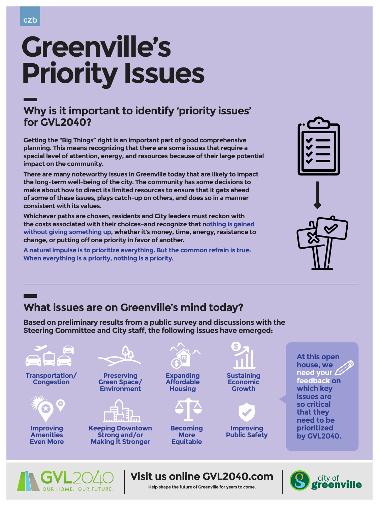

# **Greenville's Priority Issues**

### **Why is it important to identify 'priority issues' for GVL2040?**

**Visit us online GVL2040.com**





### **Help shape the future of Greenville for years to come.**

**Getting the "Big Things" right is an important part of good comprehensive planning. This means recognizing that there are some issues that require a special level of attention, energy, and resources because of their large potential impact on the community.**

|  | V |  |  |  |  |
|--|---|--|--|--|--|

**There are many noteworthy issues in Greenville today that are likely to impact the long-term well-being of the city. The community has some decisions to make about how to direct its limited resources to ensure that it gets ahead of some of these issues, plays catch-up on others, and does so in a manner consistent with its values.** 

**Whichever paths are chosen, residents and City leaders must reckon with the costs associated with their choices–and recognize that nothing is gained without giving something up, whether it's money, time, energy, resistance to change, or putting off one priority in favor of another.**

**A natural impulse is to prioritize everything. But the common refrain is true: When everything is a priority, nothing is a priority.**







# **What issues are on Greenville's mind today?**

**Based on preliminary results from a public survey and discussions with the Steering Committee and City staff, the following issues have emerged:**

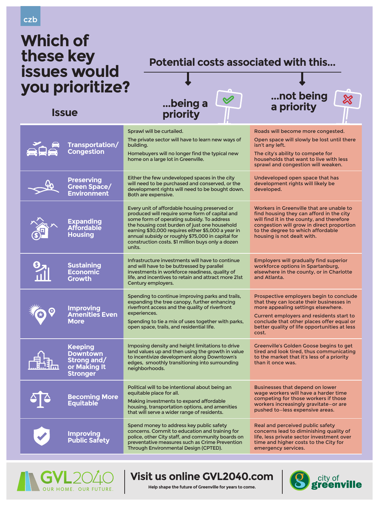## **Visit us online GVL2040.com**





### **Help shape the future of Greenville for years to come.**



### czb

# **Which of these key issues would you prioritize?**



Sprawl will be curtailed.

The city's ability to compete for households that want to live with less

The private sector will have to learn new ways of building.

Homebuyers will no longer find the typical new home on a large lot in Greenville.

Roads will become more congested.

Open space will slowly be lost until there isn't any left.

|                       |                                                                              | TIUTTE UIT à large lui, il i Uleenville.                                                                                                                                                                                                                                                                                                                                 | TIUUSETIUJUS LITAL WATTI LU IIVE WILIT IESS<br>sprawl and congestion will weaken.                                                                                                                                                                                                  |
|-----------------------|------------------------------------------------------------------------------|--------------------------------------------------------------------------------------------------------------------------------------------------------------------------------------------------------------------------------------------------------------------------------------------------------------------------------------------------------------------------|------------------------------------------------------------------------------------------------------------------------------------------------------------------------------------------------------------------------------------------------------------------------------------|
| $\rightarrow$         | <b>Preserving</b><br><b>Green Space/</b><br><b>Environment</b>               | Either the few undeveloped spaces in the city<br>will need to be purchased and conserved, or the<br>development rights will need to be bought down.<br>Both are expensive.                                                                                                                                                                                               | Undeveloped open space that has<br>development rights will likely be<br>developed.                                                                                                                                                                                                 |
|                       | <b>Expanding<br/>Affordable</b><br><b>Housing</b>                            | Every unit of affordable housing preserved or<br>produced will require some form of capital and<br>some form of operating subsidy. To address<br>the housing cost burden of just one household<br>earning \$30,000 requires either \$5,000 a year in<br>annual subsidy or roughly \$75,000 in capital for<br>construction costs. \$1 million buys only a dozen<br>units. | Workers in Greenville that are unable to<br>find housing they can afford in the city<br>will find it in the county, and therefore<br>congestion will grow in direct proportion<br>to the degree to which affordable<br>housing is not dealt with.                                  |
|                       | Sustaining<br>Economic<br><b>Growth</b>                                      | Infrastructure investments will have to continue<br>and will have to be buttressed by parallel<br>investments in workforce readiness, quality of<br>life, and incentives to retain and attract more 21st<br>Century employers.                                                                                                                                           | <b>Employers will gradually find superior</b><br>workforce options in Spartanburg,<br>elsewhere in the county, or in Charlotte<br>and Atlanta.                                                                                                                                     |
|                       | <b>Improving<br/>Amenities Even</b><br><b>More</b>                           | Spending to continue improving parks and trails,<br>expanding the tree canopy, further enhancing<br>riverfront access and the quality of riverfront<br>experiences.<br>Spending to tie a mix of uses together with parks,<br>open space, trails, and residential life.                                                                                                   | Prospective employers begin to conclude<br>that they can locate their businesses in<br>more appealing settings elsewhere.<br><b>Current employers and residents start to</b><br>conclude that other places offer equal or<br>better quality of life opportunities at less<br>cost. |
|                       | <b>Keeping</b><br>Downtown<br>Strong and/<br>or Making It<br><b>Stronger</b> | Imposing density and height limitations to drive<br>land values up and then using the growth in value<br>to incentivize development along Downtown's<br>edges, smoothly transitioning into surrounding<br>neighborhoods.                                                                                                                                                 | <b>Greenville's Golden Goose begins to get</b><br>tired and look tired, thus communicating<br>to the market that it's less of a priority<br>than it once was.                                                                                                                      |
| $\bigodot$ $\bigodot$ | <b>Becoming More</b><br>Equitable                                            | Political will to be intentional about being an<br>equitable place for all.<br>Making investments to expand affordable<br>housing, transportation options, and amenities<br>that will serve a wider range of residents.                                                                                                                                                  | <b>Businesses that depend on lower</b><br>wage workers will have a harder time<br>competing for those workers if those<br>workers increasingly gravitate-or are<br>pushed to-less expensive areas.                                                                                 |
|                       | <b>Improving<br/>Public Safety</b>                                           | Spend money to address key public safety<br>concerns. Commit to education and training for<br>police, other City staff, and community boards on<br>preventative measures such as Crime Prevention<br>Through Environmental Design (CPTED).                                                                                                                               | Real and perceived public safety<br>concerns lead to diminishing quality of<br>life, less private sector investment over<br>time and higher costs to the City for<br>emergency services.                                                                                           |

### **Potential costs associated with this...**